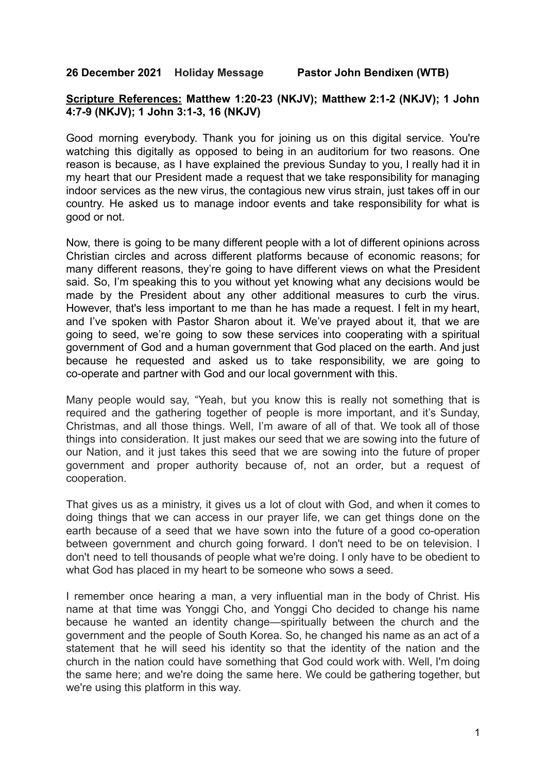**26 December 2021 Holiday Message Pastor John Bendixen (WTB)**

## **Scripture References: Matthew 1:20-23 (NKJV); Matthew 2:1-2 (NKJV); 1 John 4:7-9 (NKJV); 1 John 3:1-3, 16 (NKJV)**

Good morning everybody. Thank you for joining us on this digital service. You're watching this digitally as opposed to being in an auditorium for two reasons. One reason is because, as I have explained the previous Sunday to you, I really had it in my heart that our President made a request that we take responsibility for managing indoor services as the new virus, the contagious new virus strain, just takes off in our country. He asked us to manage indoor events and take responsibility for what is good or not.

Now, there is going to be many different people with a lot of different opinions across Christian circles and across different platforms because of economic reasons; for many different reasons, they're going to have different views on what the President said. So, I'm speaking this to you without yet knowing what any decisions would be made by the President about any other additional measures to curb the virus. However, that's less important to me than he has made a request. I felt in my heart, and I've spoken with Pastor Sharon about it. We've prayed about it, that we are going to seed, we're going to sow these services into cooperating with a spiritual government of God and a human government that God placed on the earth. And just because he requested and asked us to take responsibility, we are going to co-operate and partner with God and our local government with this.

Many people would say, "Yeah, but you know this is really not something that is required and the gathering together of people is more important, and it's Sunday, Christmas, and all those things. Well, I'm aware of all of that. We took all of those things into consideration. It just makes our seed that we are sowing into the future of our Nation, and it just takes this seed that we are sowing into the future of proper government and proper authority because of, not an order, but a request of cooperation.

That gives us as a ministry, it gives us a lot of clout with God, and when it comes to doing things that we can access in our prayer life, we can get things done on the earth because of a seed that we have sown into the future of a good co-operation between government and church going forward. I don't need to be on television. I don't need to tell thousands of people what we're doing. I only have to be obedient to what God has placed in my heart to be someone who sows a seed.

I remember once hearing a man, a very influential man in the body of Christ. His name at that time was Yonggi Cho, and Yonggi Cho decided to change his name because he wanted an identity change—spiritually between the church and the government and the people of South Korea. So, he changed his name as an act of a statement that he will seed his identity so that the identity of the nation and the church in the nation could have something that God could work with. Well, I'm doing the same here; and we're doing the same here. We could be gathering together, but we're using this platform in this way.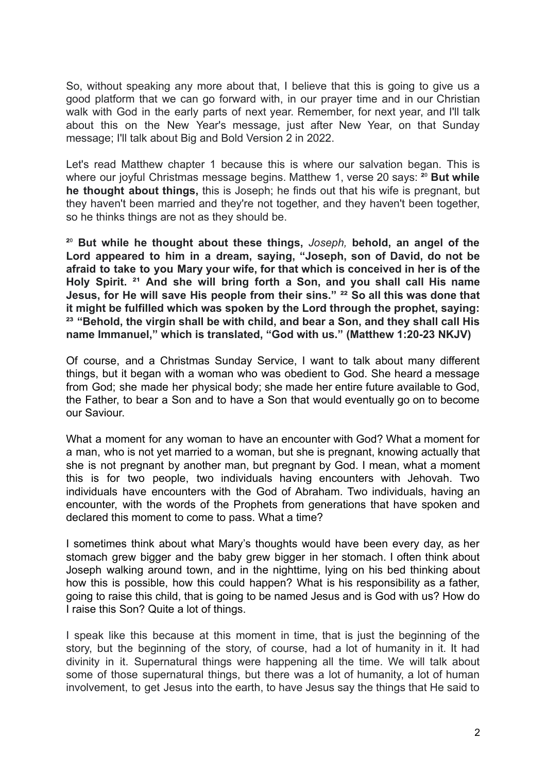So, without speaking any more about that, I believe that this is going to give us a good platform that we can go forward with, in our prayer time and in our Christian walk with God in the early parts of next year. Remember, for next year, and I'll talk about this on the New Year's message, just after New Year, on that Sunday message; I'll talk about Big and Bold Version 2 in 2022.

Let's read Matthew chapter 1 because this is where our salvation began. This is where our joyful Christmas message begins. Matthew 1, verse 20 says: <sup>20</sup> But while **he thought about things,** this is Joseph; he finds out that his wife is pregnant, but they haven't been married and they're not together, and they haven't been together, so he thinks things are not as they should be.

**²**⁰ **But while he thought about these things,** *Joseph,* **behold, an angel of the Lord appeared to him in a dream, saying, "Joseph, son of David, do not be afraid to take to you Mary your wife, for that which is conceived in her is of the Holy Spirit. ²¹ And she will bring forth a Son, and you shall call His name Jesus, for He will save His people from their sins." ²² So all this was done that it might be fulfilled which was spoken by the Lord through the prophet, saying: ²³ "Behold, the virgin shall be with child, and bear a Son, and they shall call His name Immanuel," which is translated, "God with us." (Matthew 1:20-23 NKJV)**

Of course, and a Christmas Sunday Service, I want to talk about many different things, but it began with a woman who was obedient to God. She heard a message from God; she made her physical body; she made her entire future available to God, the Father, to bear a Son and to have a Son that would eventually go on to become our Saviour.

What a moment for any woman to have an encounter with God? What a moment for a man, who is not yet married to a woman, but she is pregnant, knowing actually that she is not pregnant by another man, but pregnant by God. I mean, what a moment this is for two people, two individuals having encounters with Jehovah. Two individuals have encounters with the God of Abraham. Two individuals, having an encounter, with the words of the Prophets from generations that have spoken and declared this moment to come to pass. What a time?

I sometimes think about what Mary's thoughts would have been every day, as her stomach grew bigger and the baby grew bigger in her stomach. I often think about Joseph walking around town, and in the nighttime, lying on his bed thinking about how this is possible, how this could happen? What is his responsibility as a father, going to raise this child, that is going to be named Jesus and is God with us? How do I raise this Son? Quite a lot of things.

I speak like this because at this moment in time, that is just the beginning of the story, but the beginning of the story, of course, had a lot of humanity in it. It had divinity in it. Supernatural things were happening all the time. We will talk about some of those supernatural things, but there was a lot of humanity, a lot of human involvement, to get Jesus into the earth, to have Jesus say the things that He said to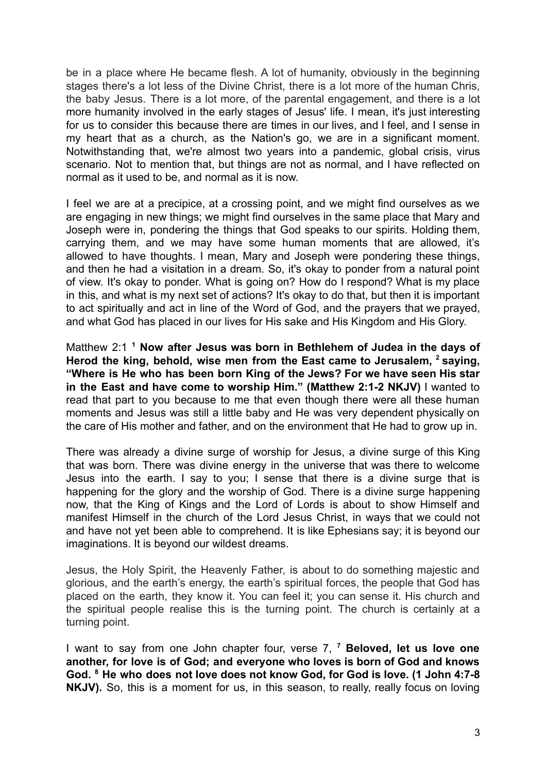be in a place where He became flesh. A lot of humanity, obviously in the beginning stages there's a lot less of the Divine Christ, there is a lot more of the human Chris, the baby Jesus. There is a lot more, of the parental engagement, and there is a lot more humanity involved in the early stages of Jesus' life. I mean, it's just interesting for us to consider this because there are times in our lives, and I feel, and I sense in my heart that as a church, as the Nation's go, we are in a significant moment. Notwithstanding that, we're almost two years into a pandemic, global crisis, virus scenario. Not to mention that, but things are not as normal, and I have reflected on normal as it used to be, and normal as it is now.

I feel we are at a precipice, at a crossing point, and we might find ourselves as we are engaging in new things; we might find ourselves in the same place that Mary and Joseph were in, pondering the things that God speaks to our spirits. Holding them, carrying them, and we may have some human moments that are allowed, it's allowed to have thoughts. I mean, Mary and Joseph were pondering these things, and then he had a visitation in a dream. So, it's okay to ponder from a natural point of view. It's okay to ponder. What is going on? How do I respond? What is my place in this, and what is my next set of actions? It's okay to do that, but then it is important to act spiritually and act in line of the Word of God, and the prayers that we prayed, and what God has placed in our lives for His sake and His Kingdom and His Glory.

Matthew 2:1 **<sup>1</sup> Now after Jesus was born in Bethlehem of Judea in the days of Herod the king, behold, wise men from the East came to Jerusalem, <sup>2</sup> saying, "Where is He who has been born King of the Jews? For we have seen His star in the East and have come to worship Him." (Matthew 2:1-2 NKJV)** I wanted to read that part to you because to me that even though there were all these human moments and Jesus was still a little baby and He was very dependent physically on the care of His mother and father, and on the environment that He had to grow up in.

There was already a divine surge of worship for Jesus, a divine surge of this King that was born. There was divine energy in the universe that was there to welcome Jesus into the earth. I say to you; I sense that there is a divine surge that is happening for the glory and the worship of God. There is a divine surge happening now, that the King of Kings and the Lord of Lords is about to show Himself and manifest Himself in the church of the Lord Jesus Christ, in ways that we could not and have not yet been able to comprehend. It is like Ephesians say; it is beyond our imaginations. It is beyond our wildest dreams.

Jesus, the Holy Spirit, the Heavenly Father, is about to do something majestic and glorious, and the earth's energy, the earth's spiritual forces, the people that God has placed on the earth, they know it. You can feel it; you can sense it. His church and the spiritual people realise this is the turning point. The church is certainly at a turning point.

I want to say from one John chapter four, verse 7, **<sup>7</sup> Beloved, let us love one another, for love is of God; and everyone who loves is born of God and knows God. <sup>8</sup> He who does not love does not know God, for God is love. (1 John 4:7-8** NKJV). So, this is a moment for us, in this season, to really, really focus on loving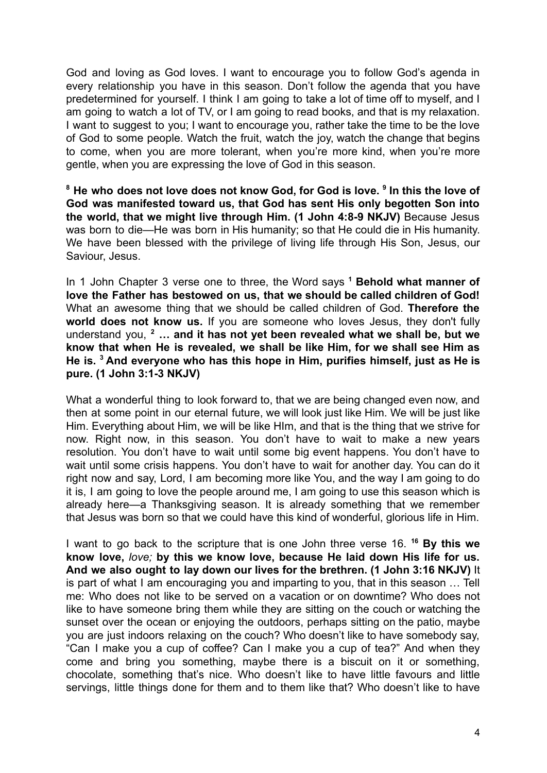God and loving as God loves. I want to encourage you to follow God's agenda in every relationship you have in this season. Don't follow the agenda that you have predetermined for yourself. I think I am going to take a lot of time off to myself, and I am going to watch a lot of TV, or I am going to read books, and that is my relaxation. I want to suggest to you; I want to encourage you, rather take the time to be the love of God to some people. Watch the fruit, watch the joy, watch the change that begins to come, when you are more tolerant, when you're more kind, when you're more gentle, when you are expressing the love of God in this season.

**<sup>8</sup> He who does not love does not know God, for God is love. <sup>9</sup> In this the love of God was manifested toward us, that God has sent His only begotten Son into the world, that we might live through Him. (1 John 4:8-9 NKJV)** Because Jesus was born to die—He was born in His humanity; so that He could die in His humanity. We have been blessed with the privilege of living life through His Son, Jesus, our Saviour, Jesus.

In 1 John Chapter 3 verse one to three, the Word says **<sup>1</sup> Behold what manner of love the Father has bestowed on us, that we should be called children of God!** What an awesome thing that we should be called children of God. **Therefore the world does not know us.** If you are someone who loves Jesus, they don't fully understand you, **<sup>2</sup> … and it has not yet been revealed what we shall be, but we know that when He is revealed, we shall be like Him, for we shall see Him as He is. <sup>3</sup> And everyone who has this hope in Him, purifies himself, just as He is pure. (1 John 3:1-3 NKJV)**

What a wonderful thing to look forward to, that we are being changed even now, and then at some point in our eternal future, we will look just like Him. We will be just like Him. Everything about Him, we will be like HIm, and that is the thing that we strive for now. Right now, in this season. You don't have to wait to make a new years resolution. You don't have to wait until some big event happens. You don't have to wait until some crisis happens. You don't have to wait for another day. You can do it right now and say, Lord, I am becoming more like You, and the way I am going to do it is, I am going to love the people around me, I am going to use this season which is already here—a Thanksgiving season. It is already something that we remember that Jesus was born so that we could have this kind of wonderful, glorious life in Him.

I want to go back to the scripture that is one John three verse 16. **<sup>16</sup> By this we know love,** *love;* **by this we know love, because He laid down His life for us. And we also ought to lay down our lives for the brethren. (1 John 3:16 NKJV)** It is part of what I am encouraging you and imparting to you, that in this season … Tell me: Who does not like to be served on a vacation or on downtime? Who does not like to have someone bring them while they are sitting on the couch or watching the sunset over the ocean or enjoying the outdoors, perhaps sitting on the patio, maybe you are just indoors relaxing on the couch? Who doesn't like to have somebody say, "Can I make you a cup of coffee? Can I make you a cup of tea?" And when they come and bring you something, maybe there is a biscuit on it or something, chocolate, something that's nice. Who doesn't like to have little favours and little servings, little things done for them and to them like that? Who doesn't like to have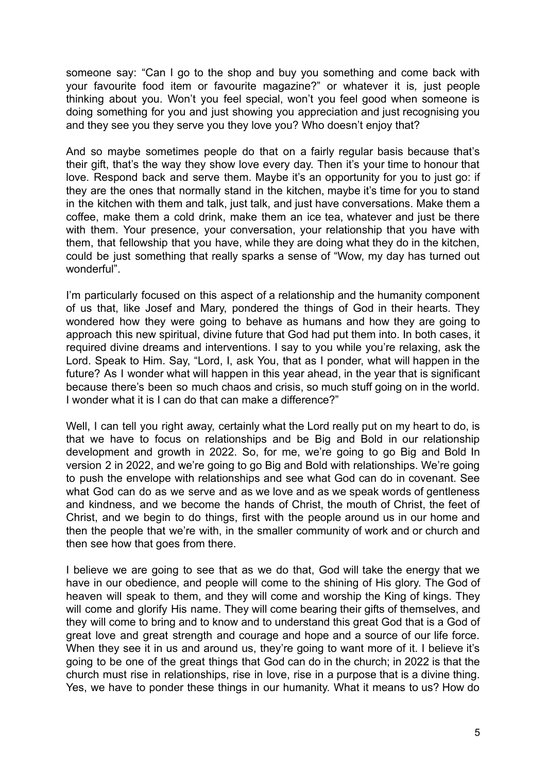someone say: "Can I go to the shop and buy you something and come back with your favourite food item or favourite magazine?" or whatever it is*,* just people thinking about you. Won't you feel special, won't you feel good when someone is doing something for you and just showing you appreciation and just recognising you and they see you they serve you they love you? Who doesn't enjoy that?

And so maybe sometimes people do that on a fairly regular basis because that's their gift, that's the way they show love every day. Then it's your time to honour that love. Respond back and serve them. Maybe it's an opportunity for you to just go: if they are the ones that normally stand in the kitchen, maybe it's time for you to stand in the kitchen with them and talk, just talk, and just have conversations. Make them a coffee, make them a cold drink, make them an ice tea, whatever and just be there with them. Your presence, your conversation, your relationship that you have with them, that fellowship that you have, while they are doing what they do in the kitchen, could be just something that really sparks a sense of "Wow, my day has turned out wonderful".

I'm particularly focused on this aspect of a relationship and the humanity component of us that, like Josef and Mary, pondered the things of God in their hearts. They wondered how they were going to behave as humans and how they are going to approach this new spiritual, divine future that God had put them into. In both cases, it required divine dreams and interventions. I say to you while you're relaxing, ask the Lord. Speak to Him. Say, "Lord, I, ask You, that as I ponder, what will happen in the future? As I wonder what will happen in this year ahead, in the year that is significant because there's been so much chaos and crisis, so much stuff going on in the world. I wonder what it is I can do that can make a difference?"

Well, I can tell you right away, certainly what the Lord really put on my heart to do, is that we have to focus on relationships and be Big and Bold in our relationship development and growth in 2022. So, for me, we're going to go Big and Bold In version 2 in 2022, and we're going to go Big and Bold with relationships. We're going to push the envelope with relationships and see what God can do in covenant. See what God can do as we serve and as we love and as we speak words of gentleness and kindness, and we become the hands of Christ, the mouth of Christ, the feet of Christ, and we begin to do things, first with the people around us in our home and then the people that we're with, in the smaller community of work and or church and then see how that goes from there.

I believe we are going to see that as we do that, God will take the energy that we have in our obedience, and people will come to the shining of His glory. The God of heaven will speak to them, and they will come and worship the King of kings. They will come and glorify His name. They will come bearing their gifts of themselves, and they will come to bring and to know and to understand this great God that is a God of great love and great strength and courage and hope and a source of our life force. When they see it in us and around us, they're going to want more of it. I believe it's going to be one of the great things that God can do in the church; in 2022 is that the church must rise in relationships, rise in love, rise in a purpose that is a divine thing. Yes, we have to ponder these things in our humanity. What it means to us? How do